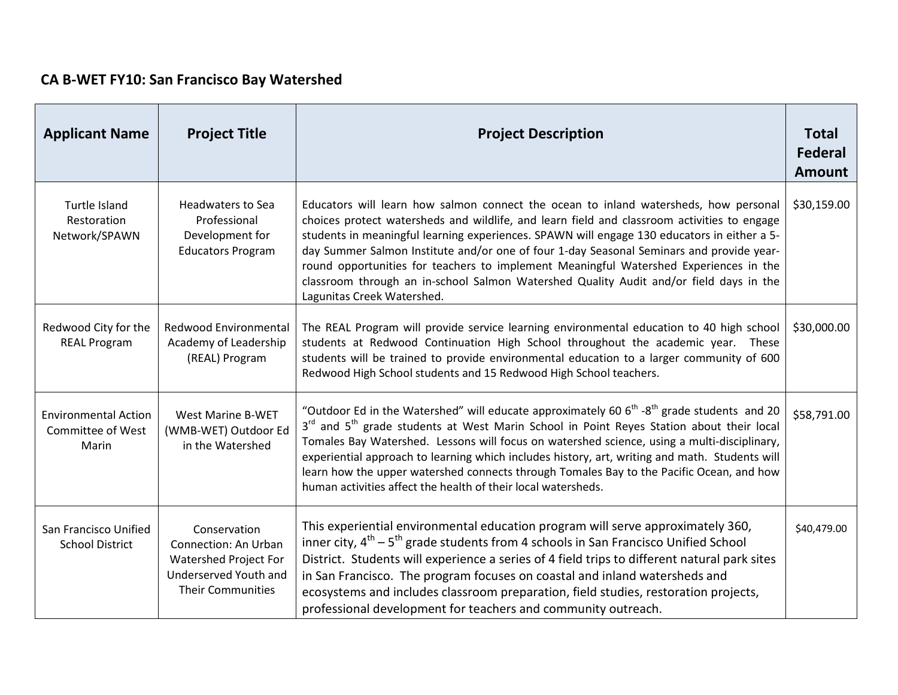## **CA B-WET FY10: San Francisco Bay Watershed**

| <b>Applicant Name</b>                                            | <b>Project Title</b>                                                                                               | <b>Project Description</b>                                                                                                                                                                                                                                                                                                                                                                                                                                                                                                                                                                      | <b>Total</b><br><b>Federal</b><br><b>Amount</b> |
|------------------------------------------------------------------|--------------------------------------------------------------------------------------------------------------------|-------------------------------------------------------------------------------------------------------------------------------------------------------------------------------------------------------------------------------------------------------------------------------------------------------------------------------------------------------------------------------------------------------------------------------------------------------------------------------------------------------------------------------------------------------------------------------------------------|-------------------------------------------------|
| Turtle Island<br>Restoration<br>Network/SPAWN                    | <b>Headwaters to Sea</b><br>Professional<br>Development for<br><b>Educators Program</b>                            | Educators will learn how salmon connect the ocean to inland watersheds, how personal<br>choices protect watersheds and wildlife, and learn field and classroom activities to engage<br>students in meaningful learning experiences. SPAWN will engage 130 educators in either a 5-<br>day Summer Salmon Institute and/or one of four 1-day Seasonal Seminars and provide year-<br>round opportunities for teachers to implement Meaningful Watershed Experiences in the<br>classroom through an in-school Salmon Watershed Quality Audit and/or field days in the<br>Lagunitas Creek Watershed. | \$30,159.00                                     |
| Redwood City for the<br><b>REAL Program</b>                      | Redwood Environmental<br>Academy of Leadership<br>(REAL) Program                                                   | The REAL Program will provide service learning environmental education to 40 high school<br>students at Redwood Continuation High School throughout the academic year. These<br>students will be trained to provide environmental education to a larger community of 600<br>Redwood High School students and 15 Redwood High School teachers.                                                                                                                                                                                                                                                   | \$30,000.00                                     |
| <b>Environmental Action</b><br><b>Committee of West</b><br>Marin | West Marine B-WET<br>(WMB-WET) Outdoor Ed<br>in the Watershed                                                      | "Outdoor Ed in the Watershed" will educate approximately 60 $6th$ -8 <sup>th</sup> grade students and 20<br>3 <sup>rd</sup> and 5 <sup>th</sup> grade students at West Marin School in Point Reyes Station about their local<br>Tomales Bay Watershed. Lessons will focus on watershed science, using a multi-disciplinary,<br>experiential approach to learning which includes history, art, writing and math. Students will<br>learn how the upper watershed connects through Tomales Bay to the Pacific Ocean, and how<br>human activities affect the health of their local watersheds.      | \$58,791.00                                     |
| San Francisco Unified<br><b>School District</b>                  | Conservation<br>Connection: An Urban<br>Watershed Project For<br>Underserved Youth and<br><b>Their Communities</b> | This experiential environmental education program will serve approximately 360,<br>inner city, $4^{th}$ – $5^{th}$ grade students from 4 schools in San Francisco Unified School<br>District. Students will experience a series of 4 field trips to different natural park sites<br>in San Francisco. The program focuses on coastal and inland watersheds and<br>ecosystems and includes classroom preparation, field studies, restoration projects,<br>professional development for teachers and community outreach.                                                                          | \$40,479.00                                     |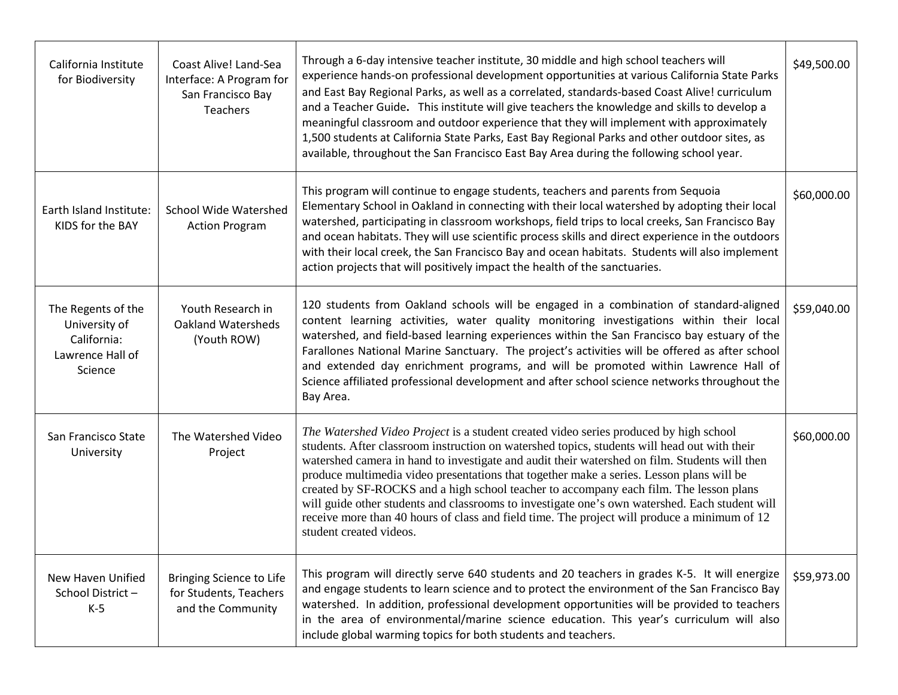| California Institute<br>for Biodiversity                                          | Coast Alive! Land-Sea<br>Interface: A Program for<br>San Francisco Bay<br><b>Teachers</b> | Through a 6-day intensive teacher institute, 30 middle and high school teachers will<br>experience hands-on professional development opportunities at various California State Parks<br>and East Bay Regional Parks, as well as a correlated, standards-based Coast Alive! curriculum<br>and a Teacher Guide. This institute will give teachers the knowledge and skills to develop a<br>meaningful classroom and outdoor experience that they will implement with approximately<br>1,500 students at California State Parks, East Bay Regional Parks and other outdoor sites, as<br>available, throughout the San Francisco East Bay Area during the following school year.                              | \$49,500.00 |
|-----------------------------------------------------------------------------------|-------------------------------------------------------------------------------------------|-----------------------------------------------------------------------------------------------------------------------------------------------------------------------------------------------------------------------------------------------------------------------------------------------------------------------------------------------------------------------------------------------------------------------------------------------------------------------------------------------------------------------------------------------------------------------------------------------------------------------------------------------------------------------------------------------------------|-------------|
| Earth Island Institute:<br>KIDS for the BAY                                       | <b>School Wide Watershed</b><br><b>Action Program</b>                                     | This program will continue to engage students, teachers and parents from Sequoia<br>Elementary School in Oakland in connecting with their local watershed by adopting their local<br>watershed, participating in classroom workshops, field trips to local creeks, San Francisco Bay<br>and ocean habitats. They will use scientific process skills and direct experience in the outdoors<br>with their local creek, the San Francisco Bay and ocean habitats. Students will also implement<br>action projects that will positively impact the health of the sanctuaries.                                                                                                                                 | \$60,000.00 |
| The Regents of the<br>University of<br>California:<br>Lawrence Hall of<br>Science | Youth Research in<br><b>Oakland Watersheds</b><br>(Youth ROW)                             | 120 students from Oakland schools will be engaged in a combination of standard-aligned<br>content learning activities, water quality monitoring investigations within their local<br>watershed, and field-based learning experiences within the San Francisco bay estuary of the<br>Farallones National Marine Sanctuary. The project's activities will be offered as after school<br>and extended day enrichment programs, and will be promoted within Lawrence Hall of<br>Science affiliated professional development and after school science networks throughout the<br>Bay Area.                                                                                                                     | \$59,040.00 |
| San Francisco State<br>University                                                 | The Watershed Video<br>Project                                                            | The Watershed Video Project is a student created video series produced by high school<br>students. After classroom instruction on watershed topics, students will head out with their<br>watershed camera in hand to investigate and audit their watershed on film. Students will then<br>produce multimedia video presentations that together make a series. Lesson plans will be<br>created by SF-ROCKS and a high school teacher to accompany each film. The lesson plans<br>will guide other students and classrooms to investigate one's own watershed. Each student will<br>receive more than 40 hours of class and field time. The project will produce a minimum of 12<br>student created videos. | \$60,000.00 |
| New Haven Unified<br>School District-<br>$K-5$                                    | <b>Bringing Science to Life</b><br>for Students, Teachers<br>and the Community            | This program will directly serve 640 students and 20 teachers in grades K-5. It will energize<br>and engage students to learn science and to protect the environment of the San Francisco Bay<br>watershed. In addition, professional development opportunities will be provided to teachers<br>in the area of environmental/marine science education. This year's curriculum will also<br>include global warming topics for both students and teachers.                                                                                                                                                                                                                                                  | \$59,973.00 |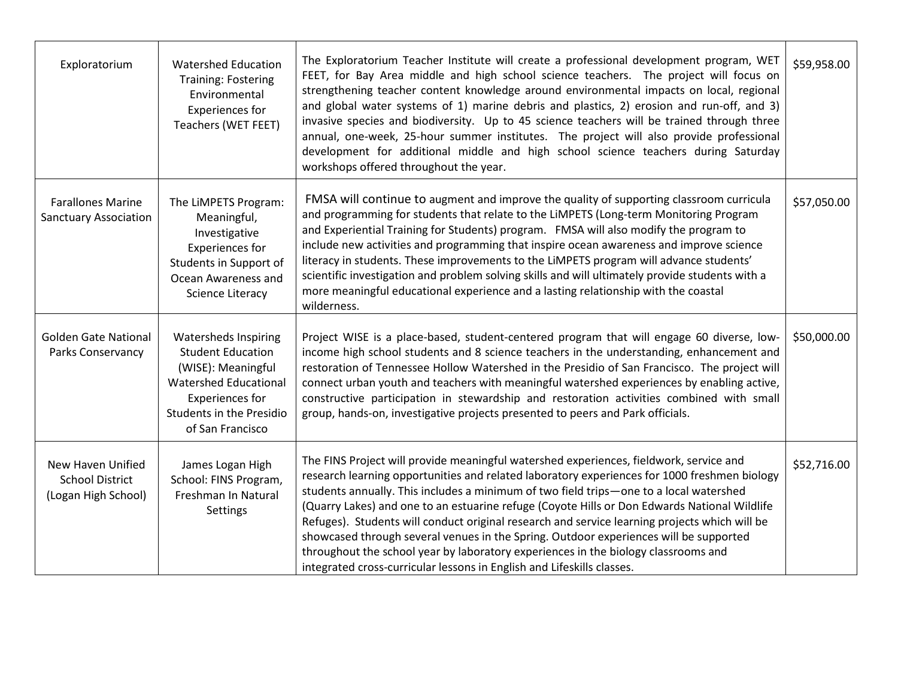| Exploratorium                                                      | <b>Watershed Education</b><br><b>Training: Fostering</b><br>Environmental<br>Experiences for<br>Teachers (WET FEET)                                                              | The Exploratorium Teacher Institute will create a professional development program, WET<br>FEET, for Bay Area middle and high school science teachers. The project will focus on<br>strengthening teacher content knowledge around environmental impacts on local, regional<br>and global water systems of 1) marine debris and plastics, 2) erosion and run-off, and 3)<br>invasive species and biodiversity. Up to 45 science teachers will be trained through three<br>annual, one-week, 25-hour summer institutes. The project will also provide professional<br>development for additional middle and high school science teachers during Saturday<br>workshops offered throughout the year.                                          | \$59,958.00 |
|--------------------------------------------------------------------|----------------------------------------------------------------------------------------------------------------------------------------------------------------------------------|--------------------------------------------------------------------------------------------------------------------------------------------------------------------------------------------------------------------------------------------------------------------------------------------------------------------------------------------------------------------------------------------------------------------------------------------------------------------------------------------------------------------------------------------------------------------------------------------------------------------------------------------------------------------------------------------------------------------------------------------|-------------|
| <b>Farallones Marine</b><br><b>Sanctuary Association</b>           | The LiMPETS Program:<br>Meaningful,<br>Investigative<br><b>Experiences for</b><br>Students in Support of<br>Ocean Awareness and<br><b>Science Literacy</b>                       | FMSA will continue to augment and improve the quality of supporting classroom curricula<br>and programming for students that relate to the LiMPETS (Long-term Monitoring Program<br>and Experiential Training for Students) program. FMSA will also modify the program to<br>include new activities and programming that inspire ocean awareness and improve science<br>literacy in students. These improvements to the LiMPETS program will advance students'<br>scientific investigation and problem solving skills and will ultimately provide students with a<br>more meaningful educational experience and a lasting relationship with the coastal<br>wilderness.                                                                     | \$57,050.00 |
| <b>Golden Gate National</b><br>Parks Conservancy                   | <b>Watersheds Inspiring</b><br><b>Student Education</b><br>(WISE): Meaningful<br><b>Watershed Educational</b><br>Experiences for<br>Students in the Presidio<br>of San Francisco | Project WISE is a place-based, student-centered program that will engage 60 diverse, low-<br>income high school students and 8 science teachers in the understanding, enhancement and<br>restoration of Tennessee Hollow Watershed in the Presidio of San Francisco. The project will<br>connect urban youth and teachers with meaningful watershed experiences by enabling active,<br>constructive participation in stewardship and restoration activities combined with small<br>group, hands-on, investigative projects presented to peers and Park officials.                                                                                                                                                                          | \$50,000.00 |
| New Haven Unified<br><b>School District</b><br>(Logan High School) | James Logan High<br>School: FINS Program,<br>Freshman In Natural<br>Settings                                                                                                     | The FINS Project will provide meaningful watershed experiences, fieldwork, service and<br>research learning opportunities and related laboratory experiences for 1000 freshmen biology<br>students annually. This includes a minimum of two field trips-one to a local watershed<br>(Quarry Lakes) and one to an estuarine refuge (Coyote Hills or Don Edwards National Wildlife<br>Refuges). Students will conduct original research and service learning projects which will be<br>showcased through several venues in the Spring. Outdoor experiences will be supported<br>throughout the school year by laboratory experiences in the biology classrooms and<br>integrated cross-curricular lessons in English and Lifeskills classes. | \$52,716.00 |